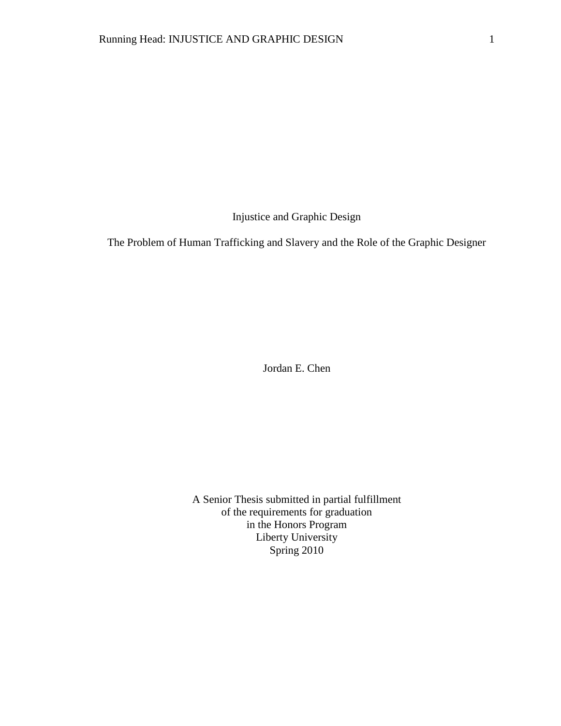Injustice and Graphic Design

The Problem of Human Trafficking and Slavery and the Role of the Graphic Designer

Jordan E. Chen

A Senior Thesis submitted in partial fulfillment of the requirements for graduation in the Honors Program Liberty University Spring 2010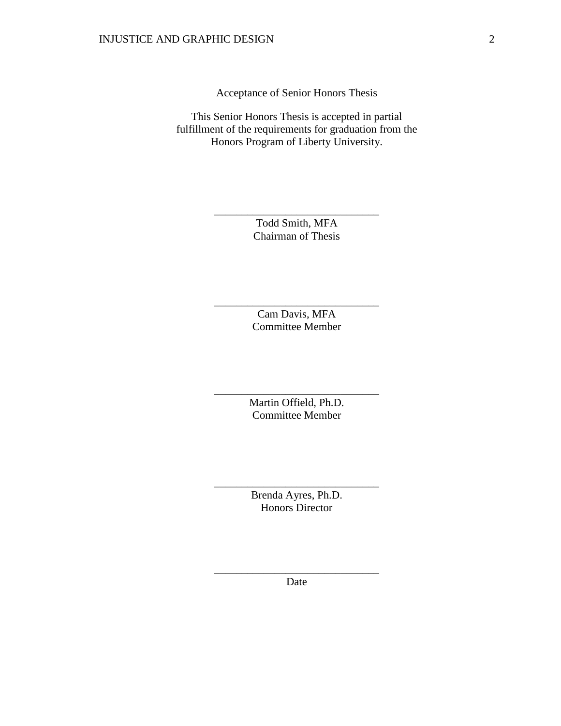Acceptance of Senior Honors Thesis

This Senior Honors Thesis is accepted in partial fulfillment of the requirements for graduation from the Honors Program of Liberty University.

> Todd Smith, MFA Chairman of Thesis

\_\_\_\_\_\_\_\_\_\_\_\_\_\_\_\_\_\_\_\_\_\_\_\_\_\_\_\_\_\_

Cam Davis, MFA Committee Member

\_\_\_\_\_\_\_\_\_\_\_\_\_\_\_\_\_\_\_\_\_\_\_\_\_\_\_\_\_\_

Martin Offield, Ph.D. Committee Member

\_\_\_\_\_\_\_\_\_\_\_\_\_\_\_\_\_\_\_\_\_\_\_\_\_\_\_\_\_\_

Brenda Ayres, Ph.D. Honors Director

\_\_\_\_\_\_\_\_\_\_\_\_\_\_\_\_\_\_\_\_\_\_\_\_\_\_\_\_\_\_

\_\_\_\_\_\_\_\_\_\_\_\_\_\_\_\_\_\_\_\_\_\_\_\_\_\_\_\_\_\_ Date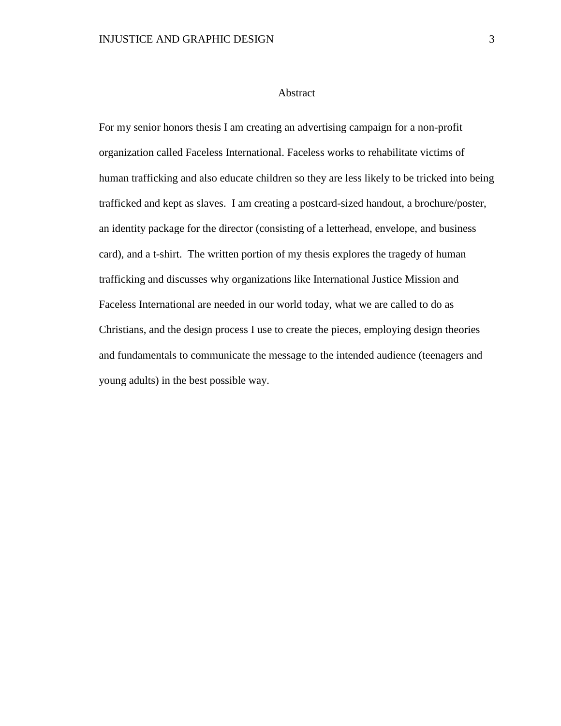#### Abstract

For my senior honors thesis I am creating an advertising campaign for a non-profit organization called Faceless International. Faceless works to rehabilitate victims of human trafficking and also educate children so they are less likely to be tricked into being trafficked and kept as slaves. I am creating a postcard-sized handout, a brochure/poster, an identity package for the director (consisting of a letterhead, envelope, and business card), and a t-shirt. The written portion of my thesis explores the tragedy of human trafficking and discusses why organizations like International Justice Mission and Faceless International are needed in our world today, what we are called to do as Christians, and the design process I use to create the pieces, employing design theories and fundamentals to communicate the message to the intended audience (teenagers and young adults) in the best possible way.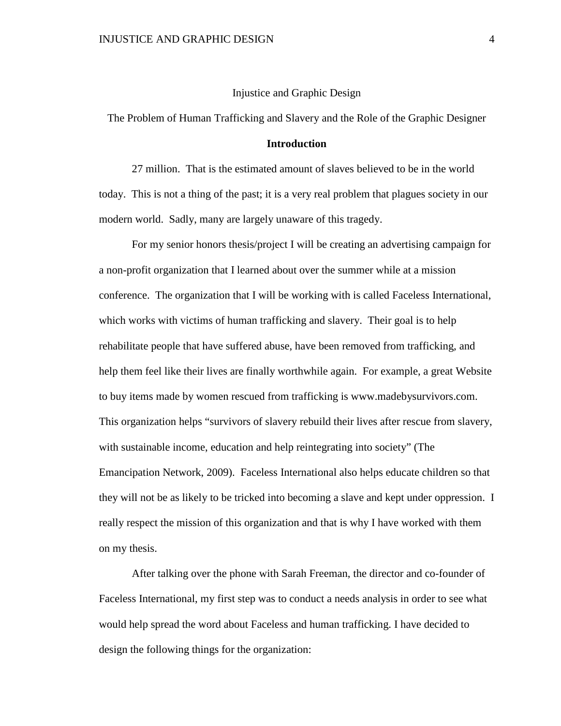## Injustice and Graphic Design

The Problem of Human Trafficking and Slavery and the Role of the Graphic Designer

### **Introduction**

27 million. That is the estimated amount of slaves believed to be in the world today. This is not a thing of the past; it is a very real problem that plagues society in our modern world. Sadly, many are largely unaware of this tragedy.

For my senior honors thesis/project I will be creating an advertising campaign for a non-profit organization that I learned about over the summer while at a mission conference. The organization that I will be working with is called Faceless International, which works with victims of human trafficking and slavery. Their goal is to help rehabilitate people that have suffered abuse, have been removed from trafficking, and help them feel like their lives are finally worthwhile again. For example, a great Website to buy items made by women rescued from trafficking is [www.madebysurvivors.com.](http://www.madebysurvivors.com/) This organization helps "survivors of slavery rebuild their lives after rescue from slavery, with sustainable income, education and help reintegrating into society" (The Emancipation Network, 2009). Faceless International also helps educate children so that they will not be as likely to be tricked into becoming a slave and kept under oppression. I really respect the mission of this organization and that is why I have worked with them on my thesis.

After talking over the phone with Sarah Freeman, the director and co-founder of Faceless International, my first step was to conduct a needs analysis in order to see what would help spread the word about Faceless and human trafficking. I have decided to design the following things for the organization: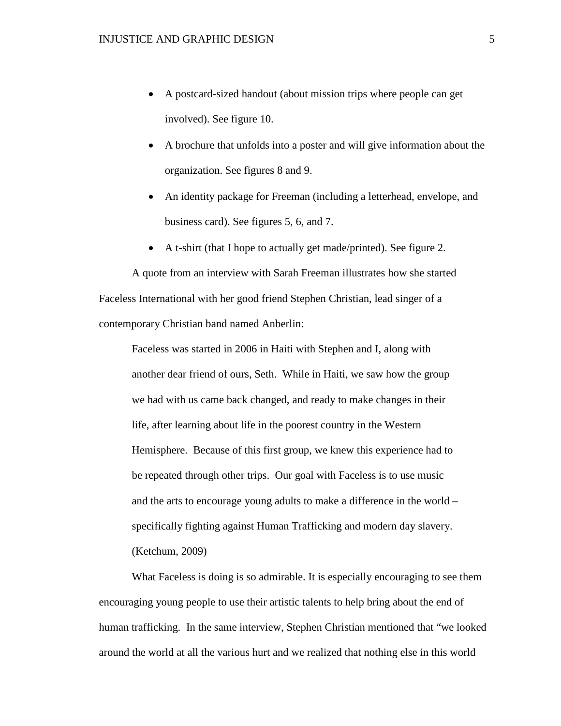- A postcard-sized handout (about mission trips where people can get involved). See figure 10.
- A brochure that unfolds into a poster and will give information about the organization. See figures 8 and 9.
- An identity package for Freeman (including a letterhead, envelope, and business card). See figures 5, 6, and 7.
- A t-shirt (that I hope to actually get made/printed). See figure 2.

A quote from an interview with Sarah Freeman illustrates how she started Faceless International with her good friend Stephen Christian, lead singer of a contemporary Christian band named Anberlin:

Faceless was started in 2006 in Haiti with Stephen and I, along with another dear friend of ours, Seth. While in Haiti, we saw how the group we had with us came back changed, and ready to make changes in their life, after learning about life in the poorest country in the Western Hemisphere. Because of this first group, we knew this experience had to be repeated through other trips. Our goal with Faceless is to use music and the arts to encourage young adults to make a difference in the world – specifically fighting against Human Trafficking and modern day slavery. (Ketchum, 2009)

What Faceless is doing is so admirable. It is especially encouraging to see them encouraging young people to use their artistic talents to help bring about the end of human trafficking. In the same interview, Stephen Christian mentioned that "we looked around the world at all the various hurt and we realized that nothing else in this world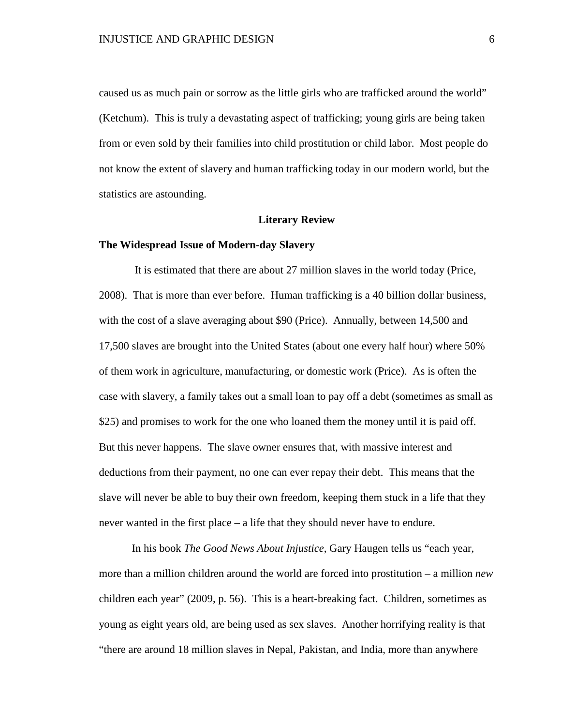caused us as much pain or sorrow as the little girls who are trafficked around the world" (Ketchum). This is truly a devastating aspect of trafficking; young girls are being taken from or even sold by their families into child prostitution or child labor. Most people do not know the extent of slavery and human trafficking today in our modern world, but the statistics are astounding.

#### **Literary Review**

#### **The Widespread Issue of Modern-day Slavery**

It is estimated that there are about 27 million slaves in the world today (Price, 2008). That is more than ever before. Human trafficking is a 40 billion dollar business, with the cost of a slave averaging about \$90 (Price). Annually, between 14,500 and 17,500 slaves are brought into the United States (about one every half hour) where 50% of them work in agriculture, manufacturing, or domestic work (Price). As is often the case with slavery, a family takes out a small loan to pay off a debt (sometimes as small as \$25) and promises to work for the one who loaned them the money until it is paid off. But this never happens. The slave owner ensures that, with massive interest and deductions from their payment, no one can ever repay their debt. This means that the slave will never be able to buy their own freedom, keeping them stuck in a life that they never wanted in the first place – a life that they should never have to endure.

In his book *The Good News About Injustice*, Gary Haugen tells us "each year, more than a million children around the world are forced into prostitution – a million *new* children each year" (2009, p. 56). This is a heart-breaking fact. Children, sometimes as young as eight years old, are being used as sex slaves. Another horrifying reality is that "there are around 18 million slaves in Nepal, Pakistan, and India, more than anywhere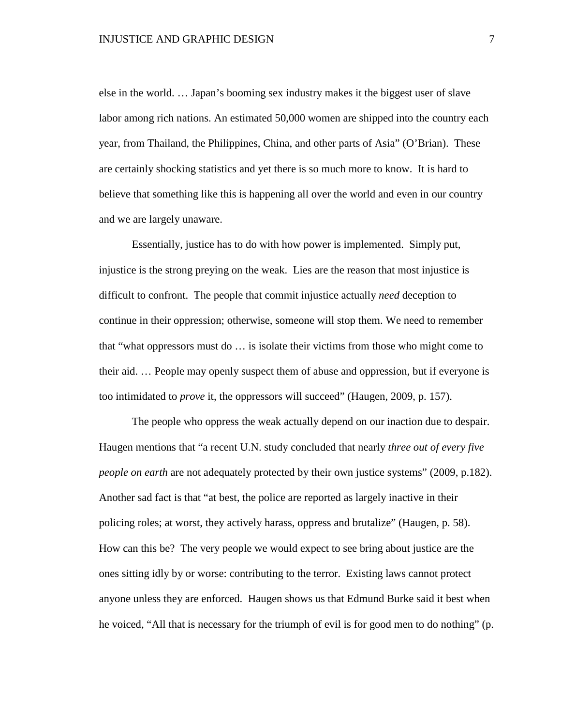else in the world. … Japan's booming sex industry makes it the biggest user of slave labor among rich nations. An estimated 50,000 women are shipped into the country each year, from Thailand, the Philippines, China, and other parts of Asia" (O'Brian). These are certainly shocking statistics and yet there is so much more to know. It is hard to believe that something like this is happening all over the world and even in our country and we are largely unaware.

Essentially, justice has to do with how power is implemented. Simply put, injustice is the strong preying on the weak. Lies are the reason that most injustice is difficult to confront. The people that commit injustice actually *need* deception to continue in their oppression; otherwise, someone will stop them. We need to remember that "what oppressors must do … is isolate their victims from those who might come to their aid. … People may openly suspect them of abuse and oppression, but if everyone is too intimidated to *prove* it, the oppressors will succeed" (Haugen, 2009, p. 157).

The people who oppress the weak actually depend on our inaction due to despair. Haugen mentions that "a recent U.N. study concluded that nearly *three out of every five people on earth* are not adequately protected by their own justice systems" (2009, p.182). Another sad fact is that "at best, the police are reported as largely inactive in their policing roles; at worst, they actively harass, oppress and brutalize" (Haugen, p. 58). How can this be? The very people we would expect to see bring about justice are the ones sitting idly by or worse: contributing to the terror. Existing laws cannot protect anyone unless they are enforced. Haugen shows us that Edmund Burke said it best when he voiced, "All that is necessary for the triumph of evil is for good men to do nothing" (p.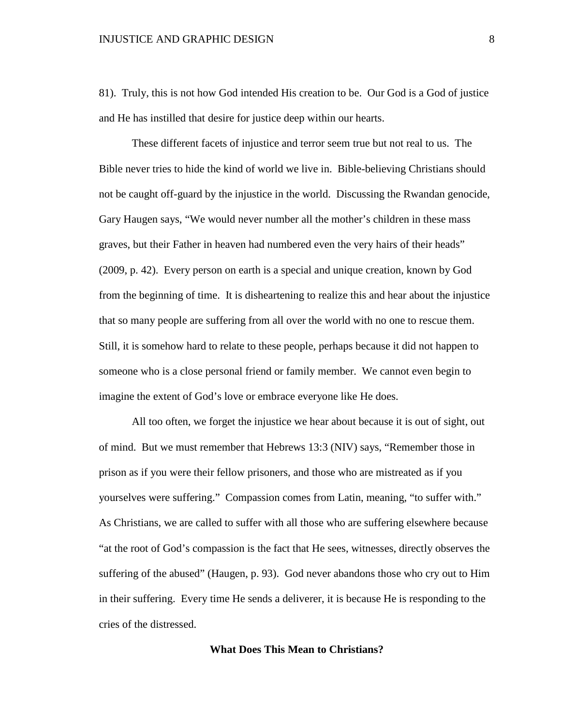81). Truly, this is not how God intended His creation to be. Our God is a God of justice and He has instilled that desire for justice deep within our hearts.

These different facets of injustice and terror seem true but not real to us. The Bible never tries to hide the kind of world we live in. Bible-believing Christians should not be caught off-guard by the injustice in the world. Discussing the Rwandan genocide, Gary Haugen says, "We would never number all the mother's children in these mass graves, but their Father in heaven had numbered even the very hairs of their heads" (2009, p. 42). Every person on earth is a special and unique creation, known by God from the beginning of time. It is disheartening to realize this and hear about the injustice that so many people are suffering from all over the world with no one to rescue them. Still, it is somehow hard to relate to these people, perhaps because it did not happen to someone who is a close personal friend or family member. We cannot even begin to imagine the extent of God's love or embrace everyone like He does.

All too often, we forget the injustice we hear about because it is out of sight, out of mind. But we must remember that Hebrews 13:3 (NIV) says, "Remember those in prison as if you were their fellow prisoners, and those who are mistreated as if you yourselves were suffering." Compassion comes from Latin, meaning, "to suffer with." As Christians, we are called to suffer with all those who are suffering elsewhere because "at the root of God's compassion is the fact that He sees, witnesses, directly observes the suffering of the abused" (Haugen, p. 93). God never abandons those who cry out to Him in their suffering. Every time He sends a deliverer, it is because He is responding to the cries of the distressed.

#### **What Does This Mean to Christians?**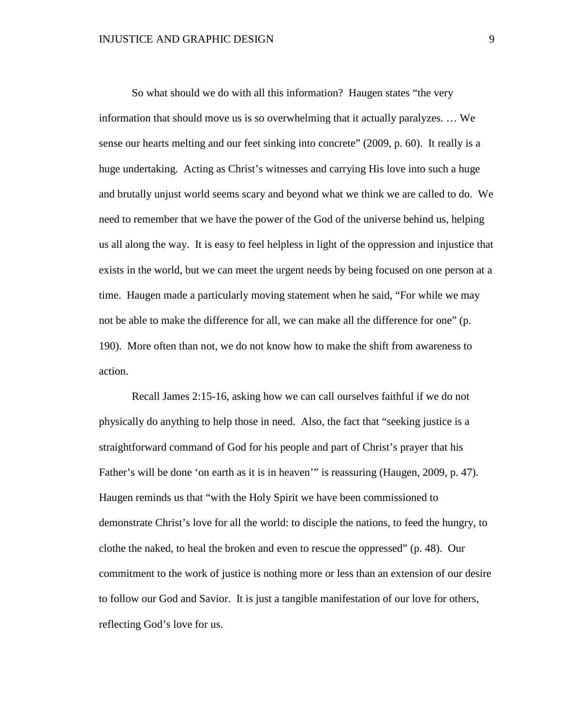So what should we do with all this information? Haugen states "the very information that should move us is so overwhelming that it actually paralyzes. … We sense our hearts melting and our feet sinking into concrete" (2009, p. 60). It really is a huge undertaking. Acting as Christ's witnesses and carrying His love into such a huge and brutally unjust world seems scary and beyond what we think we are called to do. We need to remember that we have the power of the God of the universe behind us, helping us all along the way. It is easy to feel helpless in light of the oppression and injustice that exists in the world, but we can meet the urgent needs by being focused on one person at a time. Haugen made a particularly moving statement when he said, "For while we may not be able to make the difference for all, we can make all the difference for one" (p. 190). More often than not, we do not know how to make the shift from awareness to action.

Recall James 2:15-16, asking how we can call ourselves faithful if we do not physically do anything to help those in need. Also, the fact that "seeking justice is a straightforward command of God for his people and part of Christ's prayer that his Father's will be done 'on earth as it is in heaven'" is reassuring (Haugen, 2009, p. 47). Haugen reminds us that "with the Holy Spirit we have been commissioned to demonstrate Christ's love for all the world: to disciple the nations, to feed the hungry, to clothe the naked, to heal the broken and even to rescue the oppressed" (p. 48). Our commitment to the work of justice is nothing more or less than an extension of our desire to follow our God and Savior. It is just a tangible manifestation of our love for others, reflecting God's love for us.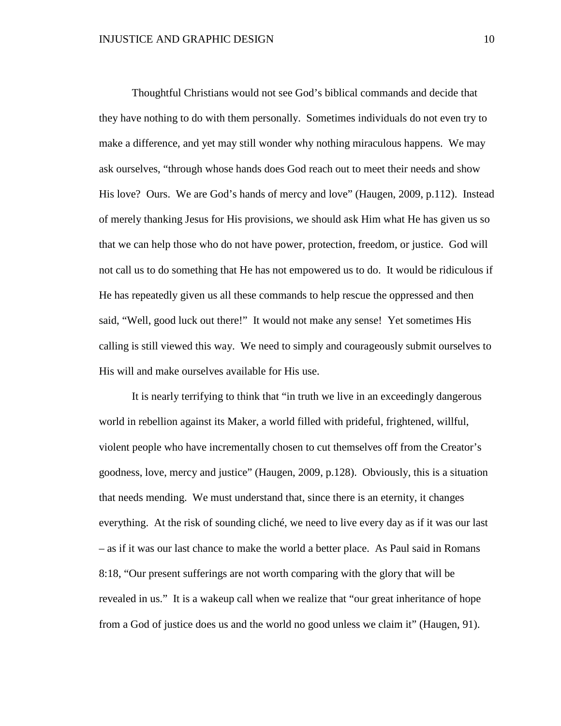Thoughtful Christians would not see God's biblical commands and decide that they have nothing to do with them personally. Sometimes individuals do not even try to make a difference, and yet may still wonder why nothing miraculous happens. We may ask ourselves, "through whose hands does God reach out to meet their needs and show His love? Ours. We are God's hands of mercy and love" (Haugen, 2009, p.112). Instead of merely thanking Jesus for His provisions, we should ask Him what He has given us so that we can help those who do not have power, protection, freedom, or justice. God will not call us to do something that He has not empowered us to do. It would be ridiculous if He has repeatedly given us all these commands to help rescue the oppressed and then said, "Well, good luck out there!" It would not make any sense! Yet sometimes His calling is still viewed this way. We need to simply and courageously submit ourselves to His will and make ourselves available for His use.

It is nearly terrifying to think that "in truth we live in an exceedingly dangerous world in rebellion against its Maker, a world filled with prideful, frightened, willful, violent people who have incrementally chosen to cut themselves off from the Creator's goodness, love, mercy and justice" (Haugen, 2009, p.128). Obviously, this is a situation that needs mending. We must understand that, since there is an eternity, it changes everything. At the risk of sounding cliché, we need to live every day as if it was our last – as if it was our last chance to make the world a better place. As Paul said in Romans 8:18, "Our present sufferings are not worth comparing with the glory that will be revealed in us." It is a wakeup call when we realize that "our great inheritance of hope from a God of justice does us and the world no good unless we claim it" (Haugen, 91).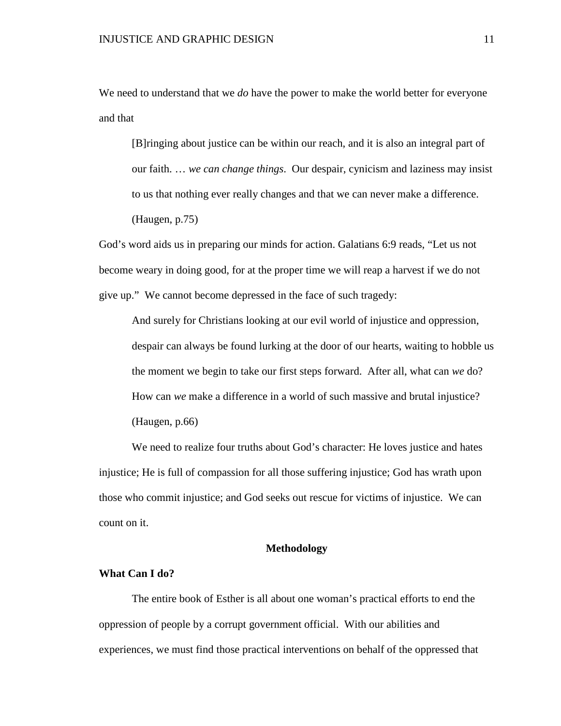We need to understand that we *do* have the power to make the world better for everyone and that

[B]ringing about justice can be within our reach, and it is also an integral part of our faith. … *we can change things*. Our despair, cynicism and laziness may insist to us that nothing ever really changes and that we can never make a difference. (Haugen, p.75)

God's word aids us in preparing our minds for action. Galatians 6:9 reads, "Let us not become weary in doing good, for at the proper time we will reap a harvest if we do not give up." We cannot become depressed in the face of such tragedy:

And surely for Christians looking at our evil world of injustice and oppression, despair can always be found lurking at the door of our hearts, waiting to hobble us the moment we begin to take our first steps forward. After all, what can *we* do? How can *we* make a difference in a world of such massive and brutal injustice? (Haugen, p.66)

We need to realize four truths about God's character: He loves justice and hates injustice; He is full of compassion for all those suffering injustice; God has wrath upon those who commit injustice; and God seeks out rescue for victims of injustice. We can count on it.

#### **Methodology**

### **What Can I do?**

The entire book of Esther is all about one woman's practical efforts to end the oppression of people by a corrupt government official. With our abilities and experiences, we must find those practical interventions on behalf of the oppressed that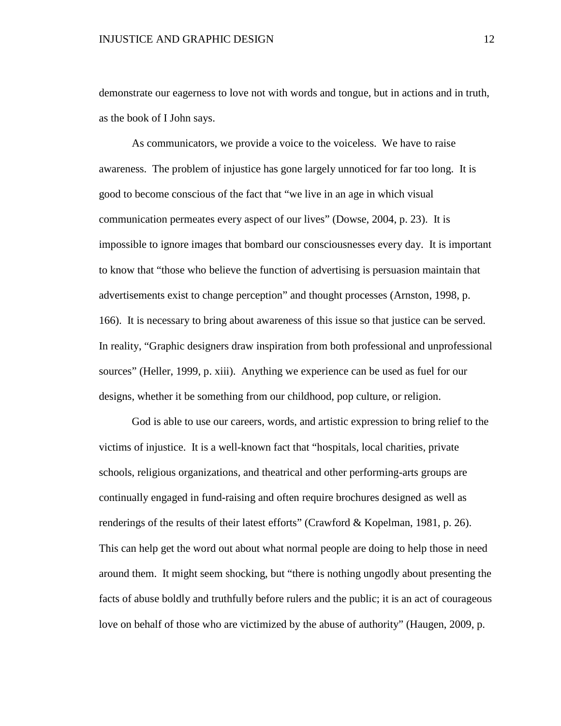demonstrate our eagerness to love not with words and tongue, but in actions and in truth, as the book of I John says.

As communicators, we provide a voice to the voiceless. We have to raise awareness. The problem of injustice has gone largely unnoticed for far too long. It is good to become conscious of the fact that "we live in an age in which visual communication permeates every aspect of our lives" (Dowse, 2004, p. 23). It is impossible to ignore images that bombard our consciousnesses every day. It is important to know that "those who believe the function of advertising is persuasion maintain that advertisements exist to change perception" and thought processes (Arnston, 1998, p. 166). It is necessary to bring about awareness of this issue so that justice can be served. In reality, "Graphic designers draw inspiration from both professional and unprofessional sources" (Heller, 1999, p. xiii). Anything we experience can be used as fuel for our designs, whether it be something from our childhood, pop culture, or religion.

God is able to use our careers, words, and artistic expression to bring relief to the victims of injustice. It is a well-known fact that "hospitals, local charities, private schools, religious organizations, and theatrical and other performing-arts groups are continually engaged in fund-raising and often require brochures designed as well as renderings of the results of their latest efforts" (Crawford & Kopelman, 1981, p. 26). This can help get the word out about what normal people are doing to help those in need around them. It might seem shocking, but "there is nothing ungodly about presenting the facts of abuse boldly and truthfully before rulers and the public; it is an act of courageous love on behalf of those who are victimized by the abuse of authority" (Haugen, 2009, p.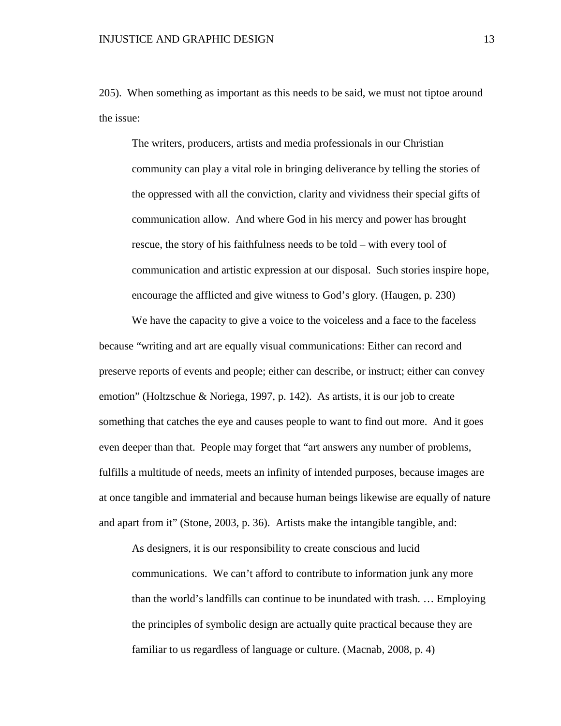205). When something as important as this needs to be said, we must not tiptoe around the issue:

The writers, producers, artists and media professionals in our Christian community can play a vital role in bringing deliverance by telling the stories of the oppressed with all the conviction, clarity and vividness their special gifts of communication allow. And where God in his mercy and power has brought rescue, the story of his faithfulness needs to be told – with every tool of communication and artistic expression at our disposal. Such stories inspire hope, encourage the afflicted and give witness to God's glory. (Haugen, p. 230)

We have the capacity to give a voice to the voiceless and a face to the faceless because "writing and art are equally visual communications: Either can record and preserve reports of events and people; either can describe, or instruct; either can convey emotion" (Holtzschue & Noriega, 1997, p. 142). As artists, it is our job to create something that catches the eye and causes people to want to find out more. And it goes even deeper than that. People may forget that "art answers any number of problems, fulfills a multitude of needs, meets an infinity of intended purposes, because images are at once tangible and immaterial and because human beings likewise are equally of nature and apart from it" (Stone, 2003, p. 36). Artists make the intangible tangible, and:

As designers, it is our responsibility to create conscious and lucid communications. We can't afford to contribute to information junk any more than the world's landfills can continue to be inundated with trash. … Employing the principles of symbolic design are actually quite practical because they are familiar to us regardless of language or culture. (Macnab, 2008, p. 4)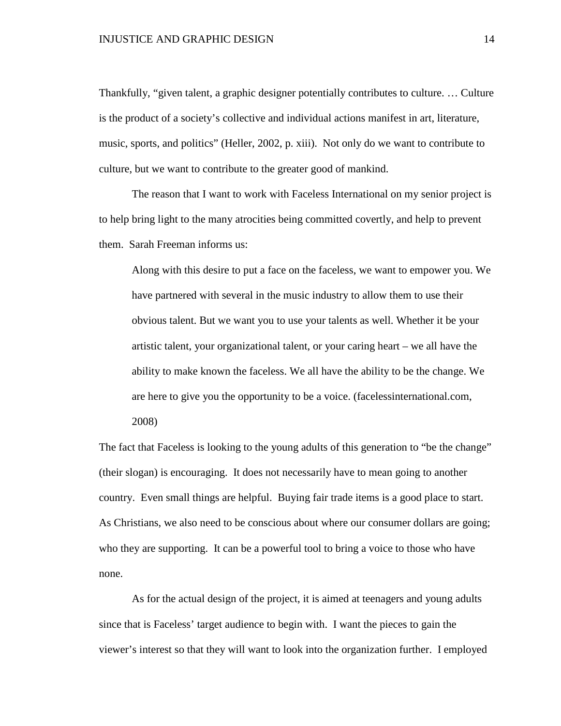Thankfully, "given talent, a graphic designer potentially contributes to culture. … Culture is the product of a society's collective and individual actions manifest in art, literature, music, sports, and politics" (Heller, 2002, p. xiii). Not only do we want to contribute to culture, but we want to contribute to the greater good of mankind.

The reason that I want to work with Faceless International on my senior project is to help bring light to the many atrocities being committed covertly, and help to prevent them. Sarah Freeman informs us:

Along with this desire to put a face on the faceless, we want to empower you. We have partnered with several in the music industry to allow them to use their obvious talent. But we want you to use your talents as well. Whether it be your artistic talent, your organizational talent, or your caring heart – we all have the ability to make known the faceless. We all have the ability to be the change. We are here to give you the opportunity to be a voice. (facelessinternational.com,

2008)

The fact that Faceless is looking to the young adults of this generation to "be the change" (their slogan) is encouraging. It does not necessarily have to mean going to another country. Even small things are helpful. Buying fair trade items is a good place to start. As Christians, we also need to be conscious about where our consumer dollars are going; who they are supporting. It can be a powerful tool to bring a voice to those who have none.

As for the actual design of the project, it is aimed at teenagers and young adults since that is Faceless' target audience to begin with. I want the pieces to gain the viewer's interest so that they will want to look into the organization further. I employed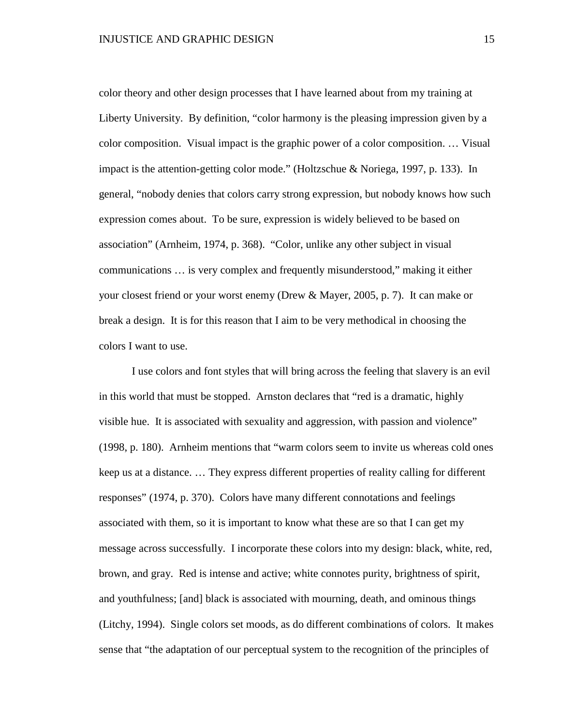color theory and other design processes that I have learned about from my training at Liberty University. By definition, "color harmony is the pleasing impression given by a color composition. Visual impact is the graphic power of a color composition. … Visual impact is the attention-getting color mode." (Holtzschue & Noriega, 1997, p. 133). In general, "nobody denies that colors carry strong expression, but nobody knows how such expression comes about. To be sure, expression is widely believed to be based on association" (Arnheim, 1974, p. 368). "Color, unlike any other subject in visual communications … is very complex and frequently misunderstood," making it either your closest friend or your worst enemy (Drew & Mayer, 2005, p. 7). It can make or break a design. It is for this reason that I aim to be very methodical in choosing the colors I want to use.

I use colors and font styles that will bring across the feeling that slavery is an evil in this world that must be stopped. Arnston declares that "red is a dramatic, highly visible hue. It is associated with sexuality and aggression, with passion and violence" (1998, p. 180). Arnheim mentions that "warm colors seem to invite us whereas cold ones keep us at a distance. … They express different properties of reality calling for different responses" (1974, p. 370). Colors have many different connotations and feelings associated with them, so it is important to know what these are so that I can get my message across successfully. I incorporate these colors into my design: black, white, red, brown, and gray. Red is intense and active; white connotes purity, brightness of spirit, and youthfulness; [and] black is associated with mourning, death, and ominous things (Litchy, 1994). Single colors set moods, as do different combinations of colors. It makes sense that "the adaptation of our perceptual system to the recognition of the principles of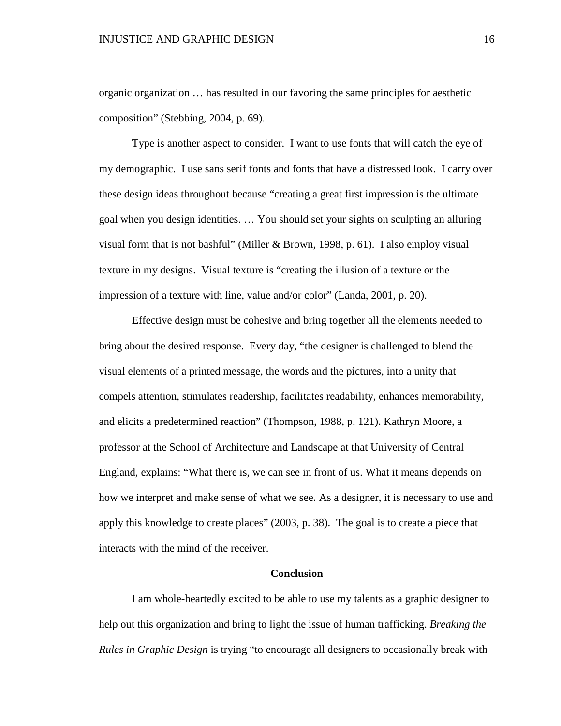organic organization … has resulted in our favoring the same principles for aesthetic composition" (Stebbing, 2004, p. 69).

Type is another aspect to consider. I want to use fonts that will catch the eye of my demographic. I use sans serif fonts and fonts that have a distressed look. I carry over these design ideas throughout because "creating a great first impression is the ultimate goal when you design identities. … You should set your sights on sculpting an alluring visual form that is not bashful" (Miller & Brown, 1998, p. 61). I also employ visual texture in my designs. Visual texture is "creating the illusion of a texture or the impression of a texture with line, value and/or color" (Landa, 2001, p. 20).

Effective design must be cohesive and bring together all the elements needed to bring about the desired response. Every day, "the designer is challenged to blend the visual elements of a printed message, the words and the pictures, into a unity that compels attention, stimulates readership, facilitates readability, enhances memorability, and elicits a predetermined reaction" (Thompson, 1988, p. 121). Kathryn Moore, a professor at the School of Architecture and Landscape at that University of Central England, explains: "What there is, we can see in front of us. What it means depends on how we interpret and make sense of what we see. As a designer, it is necessary to use and apply this knowledge to create places" (2003, p. 38). The goal is to create a piece that interacts with the mind of the receiver.

### **Conclusion**

I am whole-heartedly excited to be able to use my talents as a graphic designer to help out this organization and bring to light the issue of human trafficking. *Breaking the Rules in Graphic Design* is trying "to encourage all designers to occasionally break with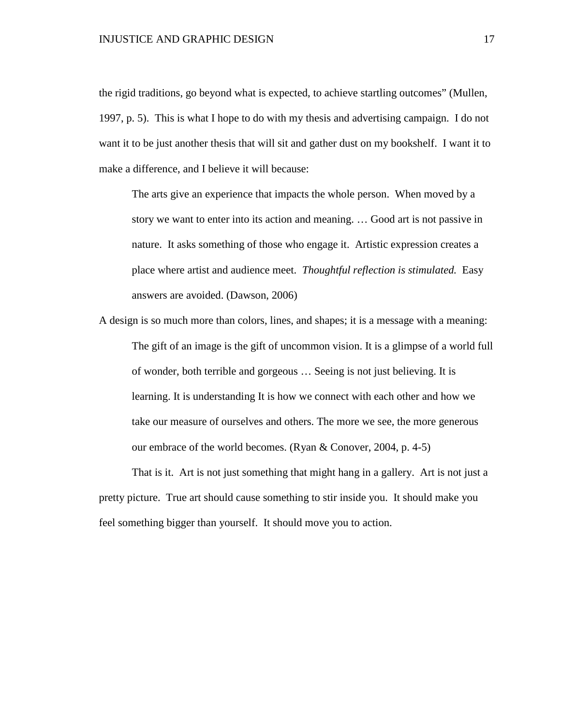the rigid traditions, go beyond what is expected, to achieve startling outcomes" (Mullen, 1997, p. 5). This is what I hope to do with my thesis and advertising campaign. I do not want it to be just another thesis that will sit and gather dust on my bookshelf. I want it to make a difference, and I believe it will because:

The arts give an experience that impacts the whole person. When moved by a story we want to enter into its action and meaning. … Good art is not passive in nature. It asks something of those who engage it. Artistic expression creates a place where artist and audience meet. *Thoughtful reflection is stimulated.* Easy answers are avoided. (Dawson, 2006)

A design is so much more than colors, lines, and shapes; it is a message with a meaning: The gift of an image is the gift of uncommon vision. It is a glimpse of a world full of wonder, both terrible and gorgeous … Seeing is not just believing. It is learning. It is understanding It is how we connect with each other and how we take our measure of ourselves and others. The more we see, the more generous our embrace of the world becomes. (Ryan & Conover, 2004, p. 4-5)

That is it. Art is not just something that might hang in a gallery. Art is not just a pretty picture. True art should cause something to stir inside you. It should make you feel something bigger than yourself. It should move you to action.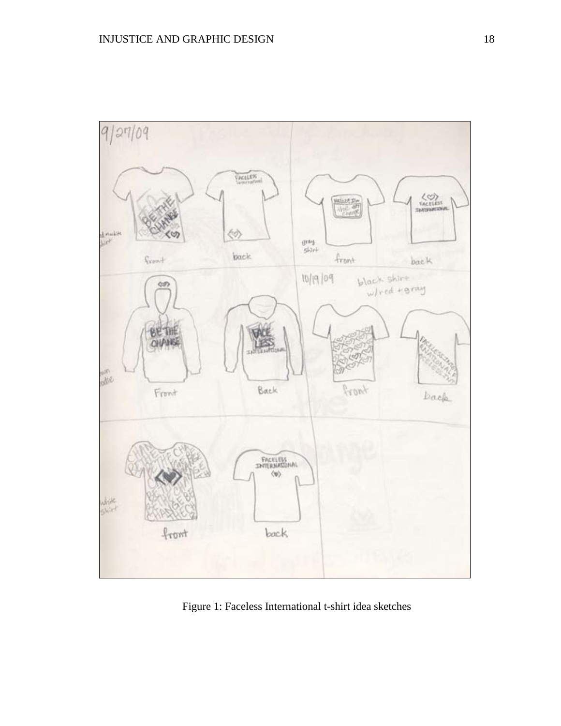

Figure 1: Faceless International t-shirt idea sketches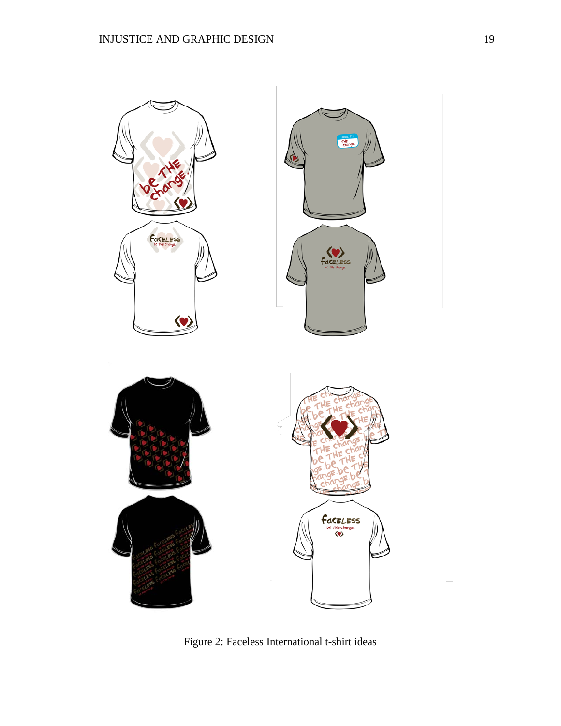

Figure 2: Faceless International t-shirt ideas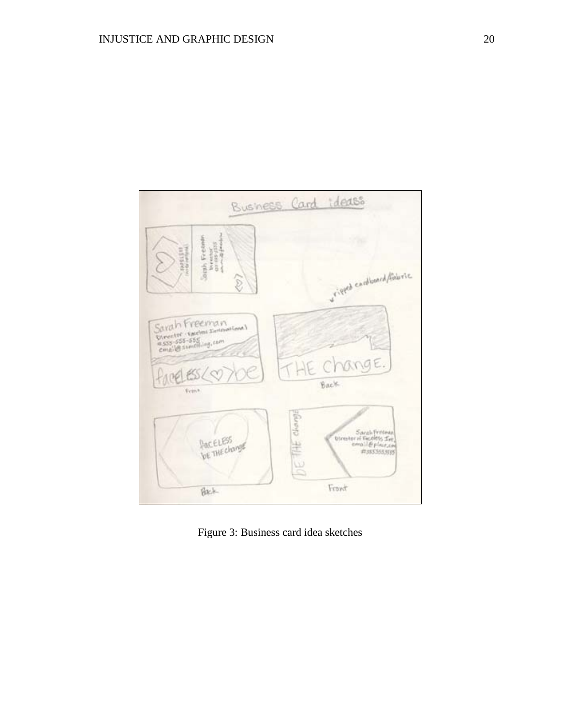

Figure 3: Business card idea sketches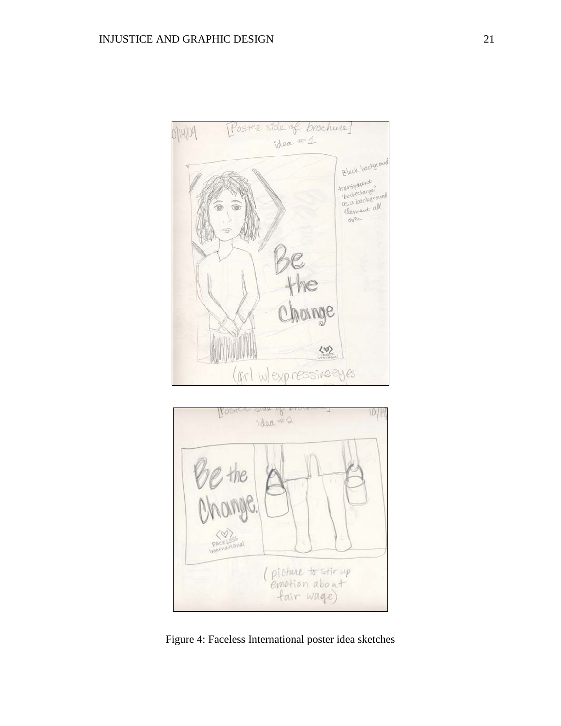



Figure 4: Faceless International poster idea sketches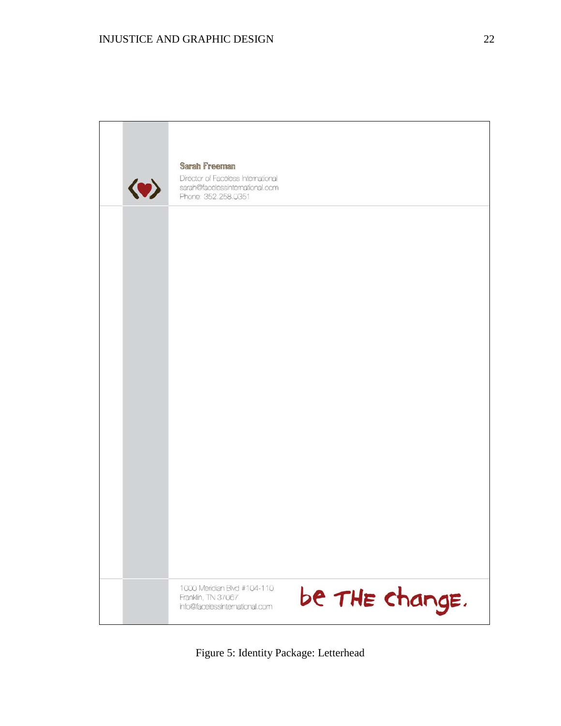

Figure 5: Identity Package: Letterhead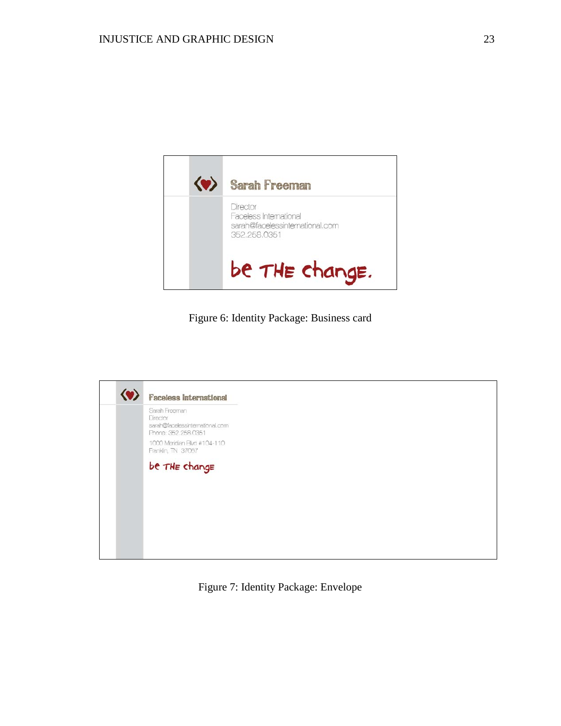

Figure 6: Identity Package: Business card



Figure 7: Identity Package: Envelope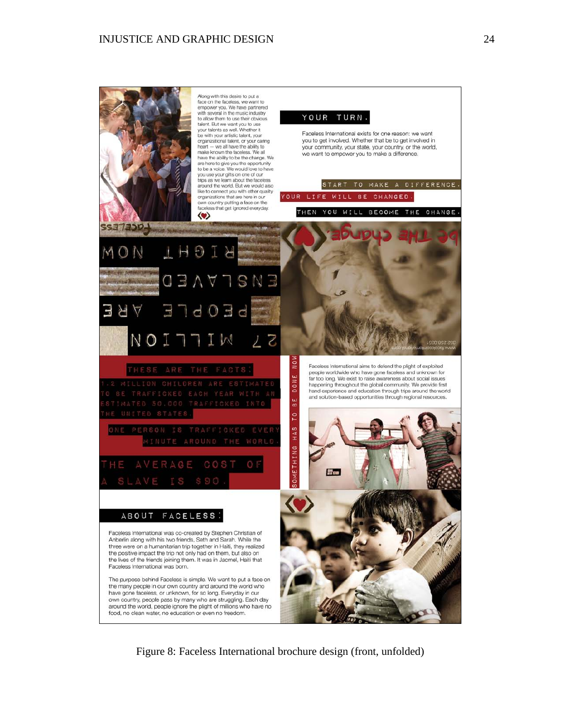Along with this desire to put a<br>face on the faceless, we want to<br>empower you. We have partnered with several in the music industry<br>to allow them to use their obvious YOUR TURN. talent. But we want you to use your talents as well. Whether it<br>be with your artistic talent, your<br>organizational talent, or your caring Faceless International exists for one reason: we want you to get involved. Whether that be to get involved in beart - we all have the ability to<br>make known the faceless. We all<br>have the ability to be the change. We your community, your state, your country, or the world, we want to empower you to make a difference. are here to give you the opportunity to be a voice. We would love to have<br>you use your gifts on one of our trips as we learn about the faceless START TO MAKE A DIFFERENCE. around the world. But we would also<br>like to connect you with other quality YOUR LIFE CHANGED. WILL **BE** organizations that are here in our own country putting a face on the<br>faceless that get ignored everyday. WILL THEN YOU BECOME THE CHANGE.  $\langle \bullet \rangle$ SS373204 THOIR VISNE П  $103$ 님 7 Faceless International aims to defend the plight of exploited people worldwide who have gone faceless and unknown for DONE far too long. We exist to raise awareness about social issues happening throughout the global community. We provide first hand experience and education through trips around the world and solution-based opportunities through regional resources. 6 E To  $H \triangle 8$ **AETHING** O F  $\triangle$  G COST 部型 **ABOUT** FACELESS: Faceless International was co-created by Stephen Christian of Anberlin along with his two friends, Seth and Sarah. While the three were on a humanitarian trip together in Haiti, they realized the positive impact the trip not only had on them, but also on the lives of the friends joining them. It was in Jacmel, Haiti that Faceless International was born. The purpose behind Faceless is simple. We want to put a face on the many people in our own country and around the world who have gone faceless, or unknown, for so long. Everyday in our own country, people pass by many who are struggling. Each day around the world, people ignore the plight of millions who have no food, no clean water, no education or even no freedom.

Figure 8: Faceless International brochure design (front, unfolded)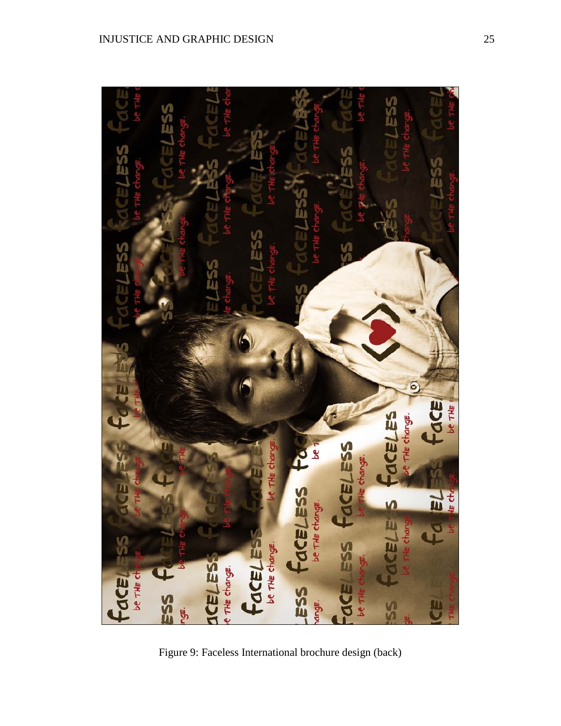

Figure 9: Faceless International brochure design (back)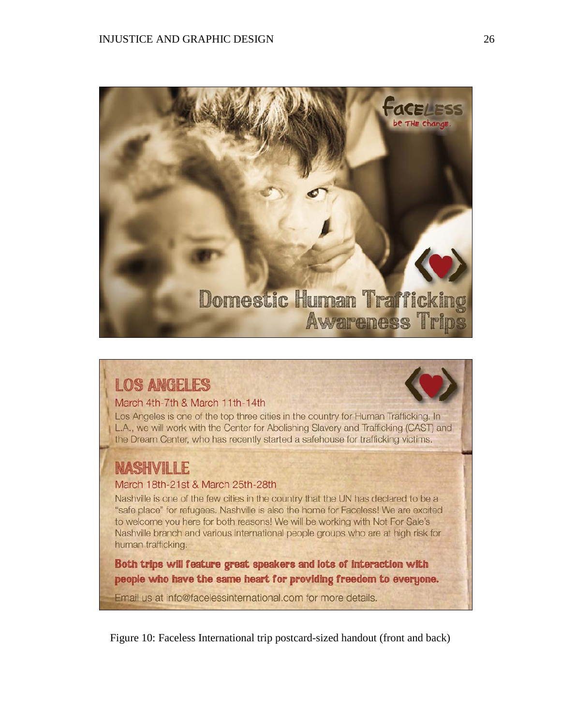

# **LOS ANGELES**

# March 4th-7th & March 11th-14th

Los Angeles is one of the top three cities in the country for Human Trafficking. In L.A., we will work with the Center for Abolishing Slavery and Trafficking (CAST) and the Dream Center, who has recently started a safehouse for trafficking victims.

# **NASHVILLE**

# March 18th-21st & March 25th-28th

Nashville is one of the few cities in the country that the UN has declared to be a "safe place" for refugees. Nashville is also the home for Faceless! We are excited to welcome you here for both reasons! We will be working with Not For Sale's Nashville branch and various international people groups who are at high risk for human trafficking.

Both trips will feature great speakers and lots of interaction with people who have the same heart for providing freedom to everyone.

Email us at info@facelessinternational.com for more details.

Figure 10: Faceless International trip postcard-sized handout (front and back)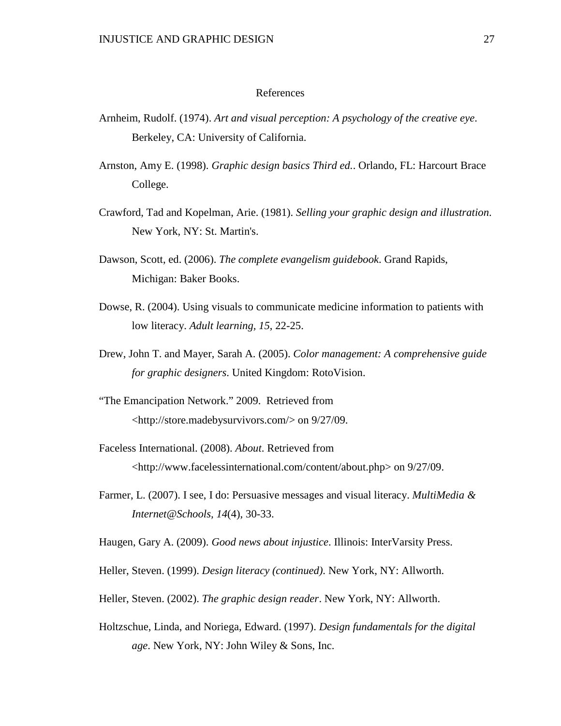#### References

- Arnheim, Rudolf. (1974). *Art and visual perception: A psychology of the creative eye*. Berkeley, CA: University of California.
- Arnston, Amy E. (1998). *Graphic design basics Third ed.*. Orlando, FL: Harcourt Brace College.
- Crawford, Tad and Kopelman, Arie. (1981). *Selling your graphic design and illustration*. New York, NY: St. Martin's.
- Dawson, Scott, ed. (2006). *The complete evangelism guidebook*. Grand Rapids, Michigan: Baker Books.
- Dowse, R. (2004). Using visuals to communicate medicine information to patients with low literacy. *Adult learning, 15*, 22-25.
- Drew, John T. and Mayer, Sarah A. (2005). *Color management: A comprehensive guide for graphic designers*. United Kingdom: RotoVision.
- "The Emancipation Network." 2009. Retrieved from [<http://store.madebysurvivors.com/>](http://store.madebysurvivors.com/) on 9/27/09.
- Faceless International. (2008). *About*. Retrieved from [<http://www.facelessinternational.com/content/about.php>](http://www.facelessinternational.com/content/about.php) on 9/27/09.
- Farmer, L. (2007). I see, I do: Persuasive messages and visual literacy. *MultiMedia & Internet@Schools, 14*(4), 30-33.
- Haugen, Gary A. (2009). *Good news about injustice*. Illinois: InterVarsity Press.
- Heller, Steven. (1999). *Design literacy (continued)*. New York, NY: Allworth.
- Heller, Steven. (2002). *The graphic design reader*. New York, NY: Allworth.
- Holtzschue, Linda, and Noriega, Edward. (1997). *Design fundamentals for the digital age*. New York, NY: John Wiley & Sons, Inc.